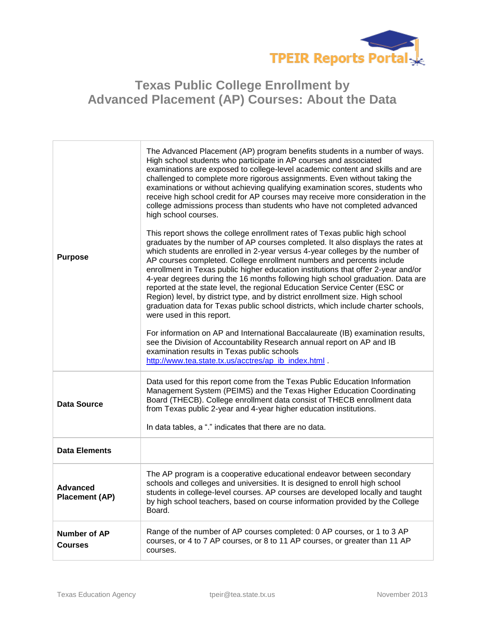



## **Texas Public College Enrollment by Advanced Placement (AP) Courses: About the Data**

| <b>Purpose</b>                           | The Advanced Placement (AP) program benefits students in a number of ways.<br>High school students who participate in AP courses and associated<br>examinations are exposed to college-level academic content and skills and are<br>challenged to complete more rigorous assignments. Even without taking the<br>examinations or without achieving qualifying examination scores, students who<br>receive high school credit for AP courses may receive more consideration in the<br>college admissions process than students who have not completed advanced<br>high school courses.<br>This report shows the college enrollment rates of Texas public high school<br>graduates by the number of AP courses completed. It also displays the rates at<br>which students are enrolled in 2-year versus 4-year colleges by the number of<br>AP courses completed. College enrollment numbers and percents include<br>enrollment in Texas public higher education institutions that offer 2-year and/or<br>4-year degrees during the 16 months following high school graduation. Data are<br>reported at the state level, the regional Education Service Center (ESC or<br>Region) level, by district type, and by district enrollment size. High school<br>graduation data for Texas public school districts, which include charter schools,<br>were used in this report.<br>For information on AP and International Baccalaureate (IB) examination results,<br>see the Division of Accountability Research annual report on AP and IB<br>examination results in Texas public schools<br>http://www.tea.state.tx.us/acctres/ap_ib_index.html . |
|------------------------------------------|----------------------------------------------------------------------------------------------------------------------------------------------------------------------------------------------------------------------------------------------------------------------------------------------------------------------------------------------------------------------------------------------------------------------------------------------------------------------------------------------------------------------------------------------------------------------------------------------------------------------------------------------------------------------------------------------------------------------------------------------------------------------------------------------------------------------------------------------------------------------------------------------------------------------------------------------------------------------------------------------------------------------------------------------------------------------------------------------------------------------------------------------------------------------------------------------------------------------------------------------------------------------------------------------------------------------------------------------------------------------------------------------------------------------------------------------------------------------------------------------------------------------------------------------------------------------------------------------------------------------------------------------|
| <b>Data Source</b>                       | Data used for this report come from the Texas Public Education Information<br>Management System (PEIMS) and the Texas Higher Education Coordinating<br>Board (THECB). College enrollment data consist of THECB enrollment data<br>from Texas public 2-year and 4-year higher education institutions.<br>In data tables, a "." indicates that there are no data.                                                                                                                                                                                                                                                                                                                                                                                                                                                                                                                                                                                                                                                                                                                                                                                                                                                                                                                                                                                                                                                                                                                                                                                                                                                                              |
| <b>Data Elements</b>                     |                                                                                                                                                                                                                                                                                                                                                                                                                                                                                                                                                                                                                                                                                                                                                                                                                                                                                                                                                                                                                                                                                                                                                                                                                                                                                                                                                                                                                                                                                                                                                                                                                                              |
| <b>Advanced</b><br><b>Placement (AP)</b> | The AP program is a cooperative educational endeavor between secondary<br>schools and colleges and universities. It is designed to enroll high school<br>students in college-level courses. AP courses are developed locally and taught<br>by high school teachers, based on course information provided by the College<br>Board.                                                                                                                                                                                                                                                                                                                                                                                                                                                                                                                                                                                                                                                                                                                                                                                                                                                                                                                                                                                                                                                                                                                                                                                                                                                                                                            |
| Number of AP<br><b>Courses</b>           | Range of the number of AP courses completed: 0 AP courses, or 1 to 3 AP<br>courses, or 4 to 7 AP courses, or 8 to 11 AP courses, or greater than 11 AP<br>courses.                                                                                                                                                                                                                                                                                                                                                                                                                                                                                                                                                                                                                                                                                                                                                                                                                                                                                                                                                                                                                                                                                                                                                                                                                                                                                                                                                                                                                                                                           |